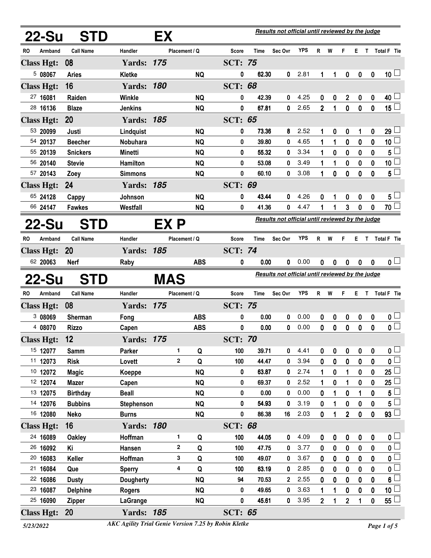| 22-Su                         | <b>STD</b>          |                                      | EX           |               |                     |             | Results not official until reviewed by the judge |            |                |             |                         |                  |                  |                                            |
|-------------------------------|---------------------|--------------------------------------|--------------|---------------|---------------------|-------------|--------------------------------------------------|------------|----------------|-------------|-------------------------|------------------|------------------|--------------------------------------------|
| Armband<br>RO                 | <b>Call Name</b>    | Handler                              |              | Placement / Q | Score               | Time        | Sec Ovr                                          | YPS        | R              | W           | F.                      | E.               | $\mathsf{T}$     | Total F Tie                                |
| <b>Class Hgt:</b>             | 08                  | <b>Yards: 175</b>                    |              |               | <b>SCT: 75</b>      |             |                                                  |            |                |             |                         |                  |                  |                                            |
| 508067                        | <b>Aries</b>        | <b>Kletke</b>                        |              | <b>NQ</b>     | 0                   | 62.30       | 0                                                | 2.81       | 1              | 1           | 0                       | 0                | $\boldsymbol{0}$ | 10 <sup>1</sup>                            |
| <b>Class Hgt:</b>             | 16                  | <b>Yards: 180</b>                    |              |               | <b>SCT: 68</b>      |             |                                                  |            |                |             |                         |                  |                  |                                            |
| 27 16081                      | Raiden              | <b>Winkle</b>                        |              | <b>NQ</b>     | 0                   | 42.39       | 0                                                | 4.25       | 0              | 0           | $\overline{2}$          | 0                | 0                | $40\perp$                                  |
| 28 16136                      | <b>Blaze</b>        | <b>Jenkins</b>                       |              | <b>NQ</b>     | 0                   | 67.81       | 0                                                | 2.65       | $\overline{2}$ | 1           | $\mathbf 0$             | $\bf{0}$         | $\boldsymbol{0}$ | $15\square$                                |
| <b>Class Hgt:</b>             | <b>20</b>           | <b>Yards: 185</b>                    |              |               | <b>SCT: 65</b>      |             |                                                  |            |                |             |                         |                  |                  |                                            |
| 53 20099                      | Justi               | Lindquist                            |              | <b>NQ</b>     | 0                   | 73.36       | 8                                                | 2.52       | 1              | 0           | 0                       | 1                | 0                | 29 <sup>1</sup>                            |
| 54 20137                      | <b>Beecher</b>      | Nobuhara                             |              | <b>NQ</b>     | 0                   | 39.80       | 0                                                | 4.65       | $\mathbf{1}$   | 1           | 0                       | 0                | $\mathbf 0$      | 10 <sup>1</sup>                            |
| 55 20139                      | <b>Snickers</b>     | Minetti                              |              | <b>NQ</b>     | 0                   | 55.32       | 0                                                | 3.34       | 1              | 0           | 0                       | 0                | 0                | $5^{\frac{1}{2}}$                          |
| 56 20140                      | <b>Stevie</b>       | Hamilton                             |              | <b>NQ</b>     | 0                   | 53.08       | 0                                                | 3.49       | 1              | 1           | 0                       | $\mathbf 0$      | $\mathbf 0$      | 10 <sup>1</sup>                            |
| 57 20143                      | Zoey                | <b>Simmons</b>                       |              | <b>NQ</b>     | 0                   | 60.10       | 0                                                | 3.08       | 1              | 0           | 0                       | 0                | 0                | $5^{\square}$                              |
| <b>Class Hgt:</b>             | 24                  | <b>Yards: 185</b>                    |              |               | <b>SCT: 69</b>      |             |                                                  |            |                |             |                         |                  |                  |                                            |
| 65 24128                      | Cappy               | Johnson                              |              | <b>NQ</b>     | 0                   | 43.44       | 0                                                | 4.26       | 0              |             | 0                       | 0                | 0                | $5^{\perp}$                                |
| 66 24147                      | <b>Fawkes</b>       | Westfall                             |              | <b>NQ</b>     | 0                   | 41.36       | 0                                                | 4.47       | 1              |             | 3                       | 0                | 0                | 70                                         |
| 22-Su                         | <b>STD</b>          |                                      | EX P         |               |                     |             | Results not official until reviewed by the judge |            |                |             |                         |                  |                  |                                            |
| <b>RO</b><br>Armband          | <b>Call Name</b>    | Handler                              |              | Placement / Q | <b>Score</b>        | <b>Time</b> | Sec Ovr                                          | <b>YPS</b> | R              | W           | F.                      | ET.              |                  | <b>Total F</b> Tie                         |
| <b>Class Hgt:</b>             | <b>20</b>           | <b>Yards: 185</b>                    |              |               | <b>SCT: 74</b>      |             |                                                  |            |                |             |                         |                  |                  |                                            |
| 62 20063                      | <b>Nerf</b>         | Raby                                 |              | <b>ABS</b>    | 0                   | 0.00        | 0                                                | 0.00       | 0              | 0           | $\boldsymbol{0}$        | $\boldsymbol{0}$ | $\boldsymbol{0}$ | 0 <sub>1</sub>                             |
| 22-Su                         | <b>STD</b>          |                                      | <b>MAS</b>   |               |                     |             | Results not official until reviewed by the judge |            |                |             |                         |                  |                  |                                            |
| <b>RO</b><br>Armband          | <b>Call Name</b>    | <b>Handler</b>                       |              | Placement / Q | Score               | Time        | Sec Ovr                                          | <b>YPS</b> | $R$ W          |             | F.                      |                  |                  | E T Total F Tie                            |
|                               |                     |                                      |              |               |                     |             |                                                  |            |                |             |                         |                  |                  |                                            |
| <b>Class Hgt:</b>             | 08                  | <b>Yards: 175</b>                    |              |               | <b>SCT: 75</b>      |             |                                                  |            |                |             |                         |                  |                  |                                            |
| 3 08069                       | Sherman             | Fong                                 |              | <b>ABS</b>    | 0                   | 0.00        | 0                                                | 0.00       | 0              | 0           | 0                       | $\mathbf 0$      | 0                | $\mathbf{0}$ $\Box$                        |
| 4 08070                       | <b>Rizzo</b>        | Capen                                |              | <b>ABS</b>    | 0                   | 0.00        | 0                                                | 0.00       | $\mathbf 0$    | $\mathbf 0$ | 0                       | $\mathbf 0$      | $\mathbf 0$      | $\overline{\mathbf{0}}$                    |
|                               | 12                  | <b>Yards: 175</b>                    |              |               | <b>SCT: 70</b>      |             |                                                  |            |                |             |                         |                  |                  |                                            |
| <b>Class Hgt:</b><br>15 12077 | <b>Samm</b>         | Parker                               | 1.           | Q             | 100                 | 39.71       | 0                                                | 4.41       | 0              | 0           | 0                       | 0                | 0                | $\mathfrak{o} \sqcup$                      |
| 11 12073                      | <b>Risk</b>         | Lovett                               | $\mathbf{2}$ | Q             | 100                 | 44.47       | 0                                                | 3.94       | $\mathbf 0$    | $\mathbf 0$ | 0                       | 0                | $\mathbf{0}$     | $\overline{\mathbf{0}}$                    |
| 10 12072                      | <b>Magic</b>        | Koeppe                               |              | <b>NQ</b>     | 0                   | 63.87       | 0                                                | 2.74       |                | 0           | 1                       | 0                | 0                | $25 \Box$                                  |
| 12 12074                      | <b>Mazer</b>        | Capen                                |              | <b>NQ</b>     | 0                   | 69.37       | 0                                                | 2.52       | 1              | 0           |                         | 0                | 0                | 25                                         |
| 13 12075                      | <b>Birthday</b>     | <b>Beall</b>                         |              | <b>NQ</b>     | 0                   | 0.00        | 0                                                | 0.00       | 0              |             | 0                       | 1                | 0                | $5^{\perp}$                                |
| 14 12076                      | <b>Bubbins</b>      | Stephenson                           |              | <b>NQ</b>     | 0                   | 54.93       | 0                                                | 3.19       | 0              | 1           | 0                       | 0                | $\mathbf 0$      | $5^{\frac{1}{2}}$                          |
| 16 12080                      | <b>Neko</b>         | <b>Burns</b>                         |              | <b>NQ</b>     | 0                   | 86.38       | 16                                               | 2.03       | 0              |             | $\overline{2}$          | 0                | $\mathbf 0$      | $93 \Box$                                  |
| <b>Class Hgt:</b>             | 16                  | <b>Yards: 180</b>                    |              |               | <b>SCT: 68</b>      |             |                                                  |            |                |             |                         |                  |                  |                                            |
| 24 16089                      | <b>Oakley</b>       | Hoffman                              | 1            | Q             | 100                 | 44.05       | 0                                                | 4.09       | 0              | 0           | 0                       | 0                | $\boldsymbol{0}$ | $\mathbf{0}$ $\Box$                        |
| 26 16092                      | Κi                  | Hansen                               | 2            | Q             | 100                 | 47.75       | 0                                                | 3.77       | 0              | 0           | 0                       | $\bf{0}$         | $\bf{0}$         | $\overline{\mathbf{0}}$                    |
| 20 16083                      | Keller              | Hoffman                              | 3            | Q             | 100                 | 49.07       | 0                                                | 3.67       | 0              | 0           | 0                       | $\bf{0}$         | $\mathbf 0$      | 0 L                                        |
| 21 16084                      | Que                 | <b>Sperry</b>                        | 4            | Q             | 100                 | 63.19       | 0                                                | 2.85       | 0              | 0           | 0                       | 0                | $\bf{0}$         |                                            |
| 22 16086                      | <b>Dusty</b>        | <b>Dougherty</b>                     |              | <b>NQ</b>     | 94                  | 70.53       | $\overline{2}$                                   | 2.55       | 0              | 0           | 0                       | 0                | $\mathbf 0$      | $6\phantom{a}$                             |
| 23 16087                      | <b>Delphine</b>     | <b>Rogers</b>                        |              | <b>NQ</b>     | 0                   | 49.65       | 0                                                | 3.63       | 1              | 1           | 0                       | 0                | 0                | $\overline{\mathbf{0}}$<br>10 <sup>1</sup> |
| 25 16090<br><b>Class Hgt:</b> | <b>Zipper</b><br>20 | <b>LaGrange</b><br><b>Yards: 185</b> |              | <b>NQ</b>     | 0<br><b>SCT: 65</b> | 45.61       | 0                                                | 3.95       | $\overline{2}$ | 1           | $\overline{\mathbf{c}}$ | 1                | $\mathbf 0$      | $55 \Box$                                  |

*<sup>5/23/2022</sup> Page 1 of 5 AKC Agility Trial Genie Version 7.25 by Robin Kletke*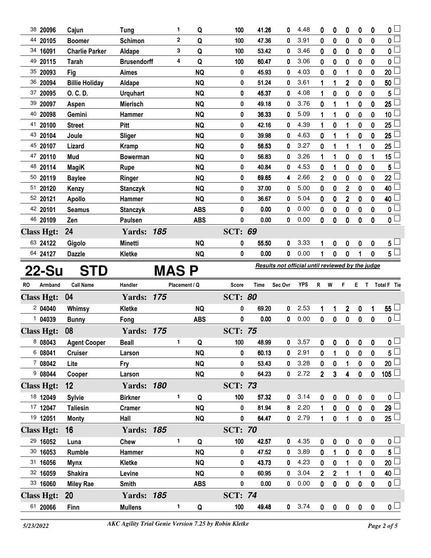| 38 20096          | Cajun                 | <b>Tung</b>        |             | 1              | Q                  | 100                 | 41.26       | 0                                                | 4.48           | 0                       | 0                | 0              | 0                 | 0                | 0 L                      |
|-------------------|-----------------------|--------------------|-------------|----------------|--------------------|---------------------|-------------|--------------------------------------------------|----------------|-------------------------|------------------|----------------|-------------------|------------------|--------------------------|
| 44 20105          | <b>Boomer</b>         | Schimon            |             | $\overline{2}$ | Q                  | 100                 | 47.36       | 0                                                | 3.91           | 0                       | $\bf{0}$         | 0              | 0                 | 0                | $\overline{0}$           |
| 34 16091          | <b>Charlie Parker</b> | Aldape             |             | 3              | Q                  | 100                 | 53.42       | 0                                                | 3.46           | 0                       | 0                | 0              | 0                 | 0                | $\overline{\mathbf{0}}$  |
| 49<br>20115       | <b>Tarah</b>          | <b>Brusendorff</b> |             | 4              | Q                  | 100                 | 60.47       | 0                                                | 3.06           | 0                       | $\bf{0}$         | 0              | $\bf{0}$          | 0                | 0                        |
| 35 20093          | Fig                   | <b>Aimes</b>       |             |                | <b>NQ</b>          | 0                   | 45.93       | 0                                                | 4.03           | 0                       | 0                | 1              | 0                 | 0                | 20 <sup>1</sup>          |
| 36 20094          | <b>Billie Holiday</b> | Aldape             |             |                | <b>NQ</b>          | 0                   | 51.24       | 0                                                | 3.61           | 1                       | 1                | $\overline{2}$ | $\bf{0}$          | 0                | 50                       |
| 37 20095          | O. C. D.              | <b>Urquhart</b>    |             |                | <b>NQ</b>          | 0                   | 45.37       | 0                                                | 4.08           | 1                       | $\bf{0}$         | 0              | 0                 | 0                | 5                        |
| 39 20097          | Aspen                 | <b>Mierisch</b>    |             |                | <b>NQ</b>          | 0                   | 49.18       | 0                                                | 3.76           | 0                       | 1                | 1              | $\bf{0}$          | $\bf{0}$         | 25                       |
| 40 20098          | Gemini                | Hammer             |             |                | <b>NQ</b>          | 0                   | 36.33       | 0                                                | 5.09           | 1                       | 1                | 0              | 0                 | 0                | 10 <sup>1</sup>          |
| 41 20100          | <b>Street</b>         | Pitt               |             |                | <b>NQ</b>          | 0                   | 42.16       | 0                                                | 4.39           | 1                       | $\bf{0}$         | 1              | 0                 | 0                | 25                       |
| 43 20104          | Joule                 | <b>Sliger</b>      |             |                | <b>NQ</b>          | 0                   | 39.98       | 0                                                | 4.63           | 0                       |                  | 1              | 0                 | 0                | 25                       |
| 45 20107          | Lizard                | <b>Kramp</b>       |             |                | <b>NQ</b>          | 0                   | 56.53       | 0                                                | 3.27           | 0                       | 1                | 1              | 1                 | 0                | 25                       |
| 47 20110          | Mud                   | <b>Bowerman</b>    |             |                | <b>NQ</b>          | 0                   | 56.83       | 0                                                | 3.26           | 1                       | 1                | 0              | 0                 |                  | 15 <sup>1</sup>          |
| 48 20114          | <b>MagiK</b>          | Rupe               |             |                | <b>NQ</b>          | 0                   | 40.84       | 0                                                | 4.53           | 0                       | 1                | 0              | 0                 | $\mathbf 0$      | 5                        |
| 50 20119          | <b>Baylee</b>         | Ringer             |             |                | <b>NQ</b>          | 0                   | 69.65       | 4                                                | 2.66           | $\overline{\mathbf{c}}$ | 0                | 0              | 0                 | 0                | 22 <sup>1</sup>          |
| 51 20120          | Kenzy                 | <b>Stanczyk</b>    |             |                | <b>NQ</b>          | 0                   | 37.00       | 0                                                | 5.00           | 0                       | 0                | $\mathbf 2$    | 0                 | $\mathbf 0$      | 40                       |
| 52 20121          | <b>Apollo</b>         | Hammer             |             |                | <b>NQ</b>          | 0                   | 36.67       | 0                                                | 5.04           | 0                       | 0                | $\mathbf 2$    | 0                 | 0                | 40 l                     |
| 42 20101          | <b>Seamus</b>         | <b>Stanczyk</b>    |             |                | <b>ABS</b>         | 0                   | 0.00        | 0                                                | 0.00           | 0                       | 0                | 0              | 0                 | $\mathbf 0$      | 0                        |
| 46 20109          | Zen                   | Paulsen            |             |                | <b>ABS</b>         | $\mathbf 0$         | 0.00        | 0                                                | 0.00           | 0                       | 0                | 0              | 0                 | $\mathbf 0$      | $\overline{\mathbf{0}}$  |
| <b>Class Hgt:</b> | 24                    | <b>Yards: 185</b>  |             |                |                    | <b>SCT: 69</b>      |             |                                                  |                |                         |                  |                |                   |                  |                          |
| 63 24122          | Gigolo                | Minetti            |             |                | <b>NQ</b>          | 0                   | 55.50       | 0                                                | 3.33           | 1                       | 0                | 0              | 0                 | 0                | $5^{\perp}$              |
| 64 24127          | <b>Dazzle</b>         | Kletke             |             |                | <b>NQ</b>          | 0                   | 0.00        | 0                                                | 0.00           | 1                       | 0                | 0              | 1                 | 0                | $5^{\Box}$               |
|                   |                       |                    |             |                |                    |                     |             | Results not official until reviewed by the judge |                |                         |                  |                |                   |                  |                          |
|                   |                       |                    |             |                |                    |                     |             |                                                  |                |                         |                  |                |                   |                  |                          |
| 22-Su             | <b>STD</b>            |                    | <b>MASP</b> |                |                    |                     |             |                                                  |                |                         |                  |                |                   |                  |                          |
| RO<br>Armband     | <b>Call Name</b>      | Handler            |             |                | Placement / Q      | Score               | <b>Time</b> | Sec Ovr                                          | <b>YPS</b>     | R.                      | W                | F              |                   |                  | E T Total F Tie          |
|                   | 04                    |                    |             |                |                    |                     |             |                                                  |                |                         |                  |                |                   |                  |                          |
| <b>Class Hgt:</b> |                       | <b>Yards: 175</b>  |             |                |                    | <b>SCT: 80</b><br>0 | 69.20       | 0                                                | 2.53           | 1                       | 1                |                |                   |                  |                          |
| 2 04040           | Whimsy                | Kletke             |             |                | <b>NQ</b>          | $\mathbf 0$         | 0.00        | 0                                                | 0.00           |                         |                  | 2              | 0                 | 1                | $55\,\Box$               |
| 1 04039           | <b>Bunny</b>          | Fong               |             |                | <b>ABS</b>         |                     |             |                                                  |                | 0                       | $\mathbf 0$      | 0              | 0                 | $\mathbf 0$      | $\overline{\mathbf{0}}$  |
| <b>Class Hgt:</b> | 08                    | <b>Yards: 175</b>  |             | $\mathbf 1$    |                    | <b>SCT: 75</b>      |             |                                                  |                |                         |                  |                |                   |                  |                          |
| 8 08043           | <b>Agent Cooper</b>   | <b>Beall</b>       |             |                | $\pmb{\mathsf{Q}}$ | 100                 | 48.99       |                                                  | $0$ 3.57 $0$ 0 |                         |                  |                | $0\quad 0\quad 0$ |                  | $\overline{\mathbf{0}}$  |
| 6 08041           | <b>Cruiser</b>        | Larson             |             |                | <b>NQ</b>          | 0                   | 60.13       | 0                                                | 2.91           | 0                       | 1                | 0              | 0                 | 0                | $5^{\frac{1}{2}}$        |
| 708042            | Lite                  | Fry                |             |                | <b>NQ</b>          | 0                   | 53.43       | 0                                                | 3.28           | 0                       | 0                | 1              | 0                 | 0                | $20\perp$                |
| 908044            | Cooper                | Larson             |             |                | <b>NQ</b>          | 0                   | 64.23       | 0                                                | 2.72           | $\overline{2}$          | 3                | 4              | $\mathbf 0$       | $\pmb{0}$        | 105 $\Box$               |
| <b>Class Hgt:</b> | $12 \,$               | <b>Yards: 180</b>  |             |                |                    | <b>SCT: 73</b>      |             |                                                  |                |                         |                  |                |                   |                  |                          |
| 18 12049          | <b>Sylvie</b>         | <b>Birkner</b>     |             | 1              | Q                  | 100                 | 57.32       | 0                                                | 3.14           | 0                       | 0                | 0              | $\pmb{0}$         | 0                | $\mathfrak{o} \sqcup$    |
| 17 12047          | <b>Taliesin</b>       | <b>Cramer</b>      |             |                | <b>NQ</b>          | 0                   | 81.94       | 8                                                | 2.20           | 1                       | $\mathbf 0$      | 0              | $\pmb{0}$         | 0                | $29\perp$                |
| 19 12051          | <b>Monty</b>          | Hall               |             |                | <b>NQ</b>          | $\pmb{0}$           | 64.47       | 0                                                | 2.79           | 1                       | $\pmb{0}$        | 1              | 0                 | $\pmb{0}$        | $25 \Box$                |
| <b>Class Hgt:</b> | 16                    | <b>Yards: 185</b>  |             |                |                    | <b>SCT: 70</b>      |             |                                                  |                |                         |                  |                |                   |                  |                          |
| 29 16052          | Luna                  | <b>Chew</b>        |             | 1              | Q                  | 100                 | 42.57       | 0                                                | 4.35           | $\boldsymbol{0}$        | 0                | 0              | $\pmb{0}$         | $\pmb{0}$        | $\mathbf{0}$ $\Box$      |
| 30 16053          | Rumble                | Hammer             |             |                | <b>NQ</b>          | 0                   | 47.52       | 0                                                | 3.89           | 0                       | 1                | 0              | 0                 | $\boldsymbol{0}$ | $5^{\square}$            |
| 31 16056          | <b>Mynx</b>           | Kletke             |             |                | <b>NQ</b>          | 0                   | 43.73       | 0                                                | 4.23           | $\mathbf 0$             | $\bf{0}$         | 1              | $\bf{0}$          | $\bf{0}$         | 20 <sup>1</sup>          |
| 32 16059          | <b>Shakira</b>        | Levine             |             |                | <b>NQ</b>          | 0                   | 60.95       | 0                                                | 3.04           | $\overline{2}$          | $\boldsymbol{2}$ | 1              | 1                 | $\bf{0}$         | 40 $\mathsf{\downarrow}$ |
| 33 16060          | <b>Miley Rae</b>      | Smith              |             |                | <b>ABS</b>         | 0                   | 0.00        | 0                                                | 0.00           | $\mathbf 0$             | 0                | 0              | 0                 | $\pmb{0}$        | $\overline{\mathsf{O}}$  |
| <b>Class Hgt:</b> | <b>20</b>             | <b>Yards: 185</b>  |             |                |                    | <b>SCT: 74</b>      |             |                                                  |                |                         |                  |                |                   |                  |                          |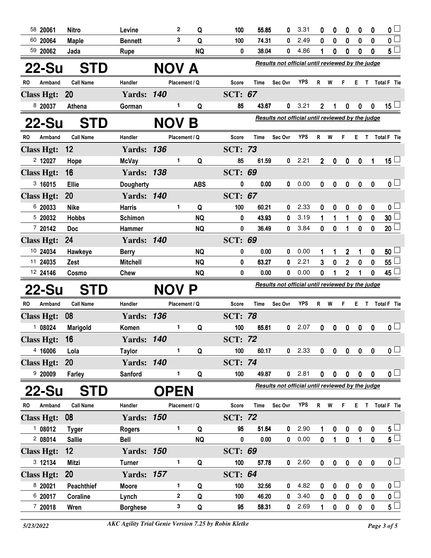| 58 20061           | <b>Nitro</b>     | Levine                   |             | $\mathbf{2}$      | Q          | 100            | 55.85          | 0                                                       | 3.31         | 0                | 0           | 0                      | 0                | 0                 | 0                                    |
|--------------------|------------------|--------------------------|-------------|-------------------|------------|----------------|----------------|---------------------------------------------------------|--------------|------------------|-------------|------------------------|------------------|-------------------|--------------------------------------|
| 60 20064           | <b>Maple</b>     | <b>Bennett</b>           |             | 3                 | Q          | 100            | 74.31          | 0                                                       | 2.49         | 0                | 0           | $\bf{0}$               | 0                | 0                 | $\mathbf 0$                          |
| 59 20062           | Jada             | <b>Rupe</b>              |             |                   | <b>NQ</b>  | 0              | 38.04          | 0                                                       | 4.86         | 1                | 0           | 0                      | 0                | 0                 | $5\perp$                             |
| 22-Su              | <b>STD</b>       |                          | NOV A       |                   |            |                |                | Results not official until reviewed by the judge        |              |                  |             |                        |                  |                   |                                      |
| RO<br>Armband      | <b>Call Name</b> | Handler                  |             | Placement / Q     |            | Score          | Time           | Sec Ovr                                                 | <b>YPS</b>   | R W              |             | F.                     |                  |                   | E T Total F Tie                      |
| <b>Class Hgt:</b>  | <b>20</b>        | <b>Yards: 140</b>        |             |                   |            | <b>SCT: 67</b> |                |                                                         |              |                  |             |                        |                  |                   |                                      |
| 8 20037            | Athena           | Gorman                   |             | 1                 | Q          | 85             | 43.67          | 0                                                       | 3.21         | $\overline{2}$   | 1           | $\mathbf 0$            | 0                | $\bf{0}$          | 15 $\lfloor$                         |
| <b>22-Su</b>       | <b>STD</b>       |                          | <b>NOV</b>  |                   | B          |                |                | <b>Results not official until reviewed by the judge</b> |              |                  |             |                        |                  |                   |                                      |
| RO<br>Armband      | <b>Call Name</b> | Handler                  |             | Placement / Q     |            | Score          | Time           | Sec Ovr                                                 | <b>YPS</b>   | R.               | W           | F                      | ET.              |                   | Total F Tie                          |
| <b>Class Hgt:</b>  | 12               | <b>Yards: 136</b>        |             |                   |            | <b>SCT: 73</b> |                |                                                         |              |                  |             |                        |                  |                   |                                      |
| 2 12027            | Hope             | <b>McVay</b>             |             | 1                 | Q          | 85             | 61.59          | 0                                                       | 2.21         | 2                | 0           | $\pmb{0}$              | 0                | 1                 | 15 $\Box$                            |
| <b>Class Hgt:</b>  | 16               | <b>Yards: 138</b>        |             |                   |            | <b>SCT: 69</b> |                |                                                         |              |                  |             |                        |                  |                   |                                      |
| 3,16015            | <b>Ellie</b>     | <b>Dougherty</b>         |             |                   | <b>ABS</b> | 0              | 0.00           | 0                                                       | 0.00         | 0                | 0           | $\pmb{0}$              | $\pmb{0}$        | 0                 | 0 <sub>1</sub>                       |
| <b>Class Hgt:</b>  | 20               | <b>Yards: 140</b>        |             |                   |            | <b>SCT: 67</b> |                |                                                         |              |                  |             |                        |                  |                   |                                      |
| 6 20033            | <b>Nike</b>      | <b>Harris</b>            |             | 1                 | Q          | 100            | 60.21          | 0                                                       | 2.33         | 0                | 0           | 0                      | 0                | 0                 | 0 <sub>l</sub>                       |
| 5 20032            | <b>Hobbs</b>     | Schimon                  |             |                   | <b>NQ</b>  | 0              | 43.93          | 0                                                       | 3.19         | 1                | 1           | 1                      | 0                | 0                 | 30 <sub>2</sub>                      |
| 7 20142            | <b>Doc</b>       | Hammer                   |             |                   | <b>NQ</b>  | 0              | 36.49          | 0                                                       | 3.84         | 0                | 0           | 1                      | 0                | $\mathbf 0$       | 20 <sup>1</sup>                      |
| <b>Class Hgt:</b>  | 24               | <b>Yards: 140</b>        |             |                   |            | <b>SCT: 69</b> |                |                                                         |              |                  |             |                        |                  |                   |                                      |
| 10 24034           | Hawkeye          | <b>Berry</b>             |             |                   | <b>NQ</b>  | 0              | 0.00           | 0                                                       | 0.00         | 1                | 1           | 2                      | 1                | 0                 | 50                                   |
| 11 24035           | Zest             | <b>Mitchell</b>          |             |                   | <b>NQ</b>  | 0              | 63.27          | 0                                                       | 2.21         | 3                | $\bf{0}$    | $\overline{2}$         | 0                | $\bf{0}$          | 55                                   |
|                    |                  |                          |             |                   |            |                |                |                                                         |              |                  |             |                        |                  |                   |                                      |
| 12 24146           | Cosmo            | Chew                     |             |                   | <b>NQ</b>  | 0              | 0.00           | 0                                                       | 0.00         | 0                | 1           | $\overline{2}$         | 1                | 0                 | 45                                   |
| 22-Su              | <b>STD</b>       |                          | NOV P       |                   |            |                |                | Results not official until reviewed by the judge        |              |                  |             |                        |                  |                   |                                      |
| RO<br>Armband      | <b>Call Name</b> | Handler                  |             | Placement / Q     |            | Score          | Time           | Sec Ovr                                                 | <b>YPS</b>   | R                | W           | F                      | Е.               | $\mathsf{T}$      | Total F Tie                          |
| <b>Class Hgt:</b>  | 08               | <b>Yards: 136</b>        |             |                   |            | <b>SCT: 78</b> |                |                                                         |              |                  |             |                        |                  |                   |                                      |
| 108024             | Marigold         | Komen                    |             | 1.                | Q          | 100            | 65.61          | $\mathbf 0$                                             | 2.07         | 0                | 0           | 0                      | 0                | $\mathbf 0$       | 0 <sub>1</sub>                       |
| <b>Class Hgt:</b>  | 16               | <b>Yards: 140</b>        |             |                   |            | <b>SCT: 72</b> |                |                                                         |              |                  |             |                        |                  |                   |                                      |
| 4 16006            | Lola             | <b>Taylor</b>            |             | 1                 | Q          | 100            | 60.17          |                                                         | $0$ 2.33     | 0                | $\mathbf 0$ | $\mathbf 0$            | $\mathbf 0$      | $\mathbf 0$       | $\mathfrak{o} \sqcup$                |
| <b>Class Hgt:</b>  | <b>20</b>        | <b>Yards: 140</b>        |             |                   |            | <b>SCT: 74</b> |                |                                                         |              |                  |             |                        |                  |                   |                                      |
| 920009             | Farley           | Sanford                  |             | 1                 | Q          | 100            | 49.87          |                                                         | $0$ 2.81     | $\mathbf 0$      | $\mathbf 0$ | $\mathbf 0$            | $\mathbf 0$      | $\mathbf 0$       | 0 <sub>1</sub>                       |
| 22-Su              | <b>STD</b>       |                          | <b>OPEN</b> |                   |            |                |                | Results not official until reviewed by the judge        |              |                  |             |                        |                  |                   |                                      |
| Armband<br>RO      | <b>Call Name</b> | Handler                  |             | Placement / Q     |            | Score          | Time           | Sec Ovr                                                 | <b>YPS</b>   | R                | W           | F                      | Е.               | $\mathsf{T}$      | Total F Tie                          |
| <b>Class Hgt:</b>  | 08               | <b>Yards: 150</b>        |             |                   |            | <b>SCT: 72</b> |                |                                                         |              |                  |             |                        |                  |                   |                                      |
| 108012             | <b>Tyger</b>     | <b>Rogers</b>            |             | 1.                | Q          | 95             | 51.64          | $\mathbf{0}$                                            | 2.90         | 1                | 0           | $\boldsymbol{0}$       | $\boldsymbol{0}$ | $\bf{0}$          | $5 -$                                |
| 208014             | <b>Sallie</b>    | <b>Bell</b>              |             |                   | <b>NQ</b>  | 0              | 0.00           | $\mathbf{0}$                                            | 0.00         | $\mathbf{0}$     | $\mathbf 1$ | $\mathbf 0$            | $\mathbf{1}$     | $\mathbf{0}$      | 5 <sub>1</sub>                       |
| <b>Class Hgt:</b>  | 12 <sup>2</sup>  | <b>Yards: 150</b>        |             |                   |            | <b>SCT: 69</b> |                |                                                         |              |                  |             |                        |                  |                   |                                      |
| 3 12134            | Mitzi            | <b>Turner</b>            |             | 1                 | Q          | 100            | 57.78          | $\mathbf 0$                                             | 2.60         | $\boldsymbol{0}$ | $\pmb{0}$   | $\pmb{0}$              | $\bf{0}$         | $\mathbf 0$       | 0 <sub>1</sub>                       |
| <b>Class Hgt:</b>  | <b>20</b>        | <b>Yards: 157</b>        |             |                   |            | <b>SCT: 64</b> |                |                                                         |              |                  |             |                        |                  |                   |                                      |
| 8 20021            | Peachthief       | <b>Moore</b>             |             | 1                 | Q          | 100            | 32.56          | 0                                                       | 4.82         | 0                | 0           | 0                      | $\mathbf 0$      | 0                 | 0 <sub>1</sub>                       |
| 6 20017<br>7 20018 | Coraline<br>Wren | Lynch<br><b>Borghese</b> |             | $\mathbf{2}$<br>3 | Q<br>Q     | 100<br>95      | 46.20<br>58.31 | 0<br>0                                                  | 3.40<br>2.69 | 0                | 0<br>0      | $\pmb{0}$<br>$\pmb{0}$ | 0<br>$\mathbf 0$ | 0<br>$\mathbf{0}$ | $\mathfrak{o} \Box$<br>$5^{\square}$ |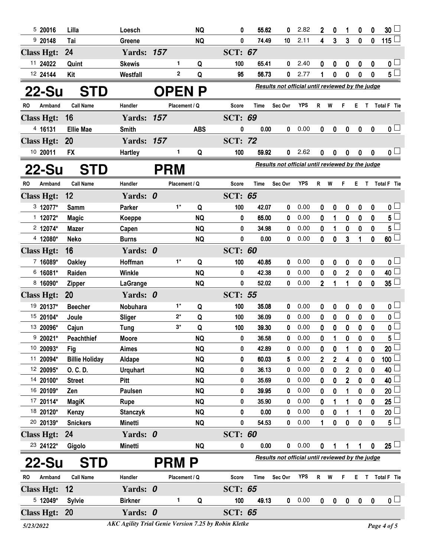| 520016            | Lilla                 | Loesch            |              |               | <b>NQ</b>    | 0              | 55.62       | 0                                                | 2.82       | $\mathbf{2}$     | $\bf{0}$       | 1              | 0                | $\boldsymbol{0}$ | 30 <sup>1</sup>         |
|-------------------|-----------------------|-------------------|--------------|---------------|--------------|----------------|-------------|--------------------------------------------------|------------|------------------|----------------|----------------|------------------|------------------|-------------------------|
| 920148            | Tai                   | Greene            |              |               | <b>NQ</b>    | 0              | 74.49       | 10                                               | 2.11       | 4                | 3              | 3              | $\bf{0}$         | $\bf{0}$         | 115 $\Box$              |
| <b>Class Hgt:</b> | 24                    | <b>Yards: 157</b> |              |               |              | <b>SCT: 67</b> |             |                                                  |            |                  |                |                |                  |                  |                         |
| 11 24022          | Quint                 | <b>Skewis</b>     |              | 1             | Q            | 100            | 65.41       | 0                                                | 2.40       | 0                | 0              | 0              | 0                | 0                | 0 <sub>0</sub>          |
| 12 24144          | Kit                   | Westfall          |              | 2             | Q            | 95             | 56.73       | 0                                                | 2.77       |                  | 0              | 0              | $\bf{0}$         | 0                | $5^{\square}$           |
| 22-Su             | STD                   |                   |              |               | <b>OPENP</b> |                |             | Results not official until reviewed by the judge |            |                  |                |                |                  |                  |                         |
| RO<br>Armband     | <b>Call Name</b>      | Handler           |              | Placement / Q |              | Score          | <b>Time</b> | Sec Ovr                                          | <b>YPS</b> | R                | W              | F              | E.               | $\mathsf{T}$     | Total F Tie             |
| <b>Class Hgt:</b> | 16                    | <b>Yards: 157</b> |              |               |              | <b>SCT: 69</b> |             |                                                  |            |                  |                |                |                  |                  |                         |
| 4 16131           | <b>Ellie Mae</b>      | <b>Smith</b>      |              |               | <b>ABS</b>   | 0              | 0.00        | 0                                                | 0.00       | $\mathbf 0$      | 0              | $\mathbf 0$    | $\mathbf 0$      | $\mathbf 0$      | 0 <sub>1</sub>          |
| <b>Class Hgt:</b> | <b>20</b>             | <b>Yards: 157</b> |              |               |              | <b>SCT: 72</b> |             |                                                  |            |                  |                |                |                  |                  |                         |
| 10 20011          | <b>FX</b>             | <b>Hartley</b>    |              | 1             | Q            | 100            | 59.92       | 0                                                | 2.62       | 0                | 0              | 0              | 0                | 0                | 0 <sub>1</sub>          |
| 22-Su             | <b>STD</b>            |                   | <b>PRM</b>   |               |              |                |             | Results not official until reviewed by the judge |            |                  |                |                |                  |                  |                         |
| Armband<br>RO     | <b>Call Name</b>      | Handler           |              | Placement / Q |              | Score          | Time        | Sec Ovr                                          | <b>YPS</b> | R W              |                | F.             |                  |                  | E T Total F Tie         |
| <b>Class Hgt:</b> | 12                    | Yards: 0          |              |               |              | <b>SCT: 65</b> |             |                                                  |            |                  |                |                |                  |                  |                         |
| 3 12077*          | <b>Samm</b>           | <b>Parker</b>     |              | $1^*$         | Q            | 100            | 42.07       | 0                                                | 0.00       | 0                | 0              | 0              | $\mathbf 0$      | 0                | $\mathbf{0}$ $\Box$     |
| $1$ 12072*        | <b>Magic</b>          | Koeppe            |              |               | <b>NQ</b>    | 0              | 65.00       | 0                                                | 0.00       | 0                | 1              | 0              | 0                | 0                | $\overline{5}$          |
| $2$ 12074*        | Mazer                 | Capen             |              |               | <b>NQ</b>    | 0              | 34.98       | 0                                                | 0.00       | 0                | 1              | 0              | 0                | 0                | $5^{\Box}$              |
| 4 12080*          | Neko                  | <b>Burns</b>      |              |               | <b>NQ</b>    | 0              | 0.00        | 0                                                | 0.00       | 0                | 0              | 3              | 1                | 0                | 60                      |
| <b>Class Hgt:</b> | 16                    | Yards: 0          |              |               |              | <b>SCT: 60</b> |             |                                                  |            |                  |                |                |                  |                  |                         |
| 7 16089*          | <b>Oakley</b>         | Hoffman           |              | $1^*$         | Q            | 100            | 40.85       | 0                                                | 0.00       | 0                | 0              | 0              | 0                | 0                | 0 <sub>1</sub>          |
| 6 16081*          | Raiden                | Winkle            |              |               | <b>NQ</b>    | 0              | 42.38       | 0                                                | 0.00       | 0                | 0              | $\overline{2}$ | $\boldsymbol{0}$ | 0                | 40                      |
| 8 16090*          | <b>Zipper</b>         | LaGrange          |              |               | <b>NQ</b>    | 0              | 52.02       | 0                                                | 0.00       | $\overline{2}$   | 1              | 1              | $\mathbf 0$      | $\boldsymbol{0}$ | $35\square$             |
| <b>Class Hgt:</b> | <b>20</b>             | Yards: 0          |              |               |              | <b>SCT: 55</b> |             |                                                  |            |                  |                |                |                  |                  |                         |
| 19 20137*         | <b>Beecher</b>        | Nobuhara          |              | $1^*$         | Q            | 100            | 35.08       | 0                                                | 0.00       | 0                | 0              | 0              | 0                | 0                | $\mathfrak{o} \sqcup$   |
| 15 20104*         | Joule                 | <b>Sliger</b>     |              | $2^*$         | Q            | 100            | 36.09       | 0                                                | 0.00       | 0                | 0              | $\mathbf 0$    | $\mathbf 0$      | $\mathbf{0}$     | $\overline{\mathbf{0}}$ |
| 13 20096*         | Cajun                 | Tung              |              | $3^*$         | Q            | 100            | 39.30       | 0                                                | 0.00       | 0                | 0              | 0              | 0                | 0                | $\overline{\mathbf{0}}$ |
| $920021*$         | <b>Peachthief</b>     | <b>Moore</b>      |              |               | <b>NQ</b>    | 0              | 36.58       | 0                                                | 0.00       | 0                | 1              | 0              | $\mathbf 0$      | $\mathbf{0}$     | $5^{\square}$           |
| 10 20093*         | Fig                   | <b>Aimes</b>      |              |               | <b>NQ</b>    | 0              | 42.89       | 0                                                | 0.00       | 0                | 0              | 1              | 0                | 0                | $20$ $\Box$             |
| 11 20094*         | <b>Billie Holiday</b> | Aldape            |              |               | <b>NQ</b>    | 0              | 60.03       | 5                                                | 0.00       | $\overline{2}$   | $\overline{2}$ | 4              | $\mathbf 0$      | 0                | $100$ $\Box$            |
| 12 20095*         | O. C. D.              | <b>Urquhart</b>   |              |               | <b>NQ</b>    | 0              | 36.13       | 0                                                | 0.00       | 0                | 0              | 2              | 0                | 0                | $40$ $\Box$             |
| 14 20100*         | <b>Street</b>         | <b>Pitt</b>       |              |               | <b>NQ</b>    | 0              | 35.69       | 0                                                | 0.00       | 0                | 0              | 2              | 0                | 0                | 40 <sup>1</sup>         |
| 16 20109*         | Zen                   | Paulsen           |              |               | <b>NQ</b>    | 0              | 39.95       | 0                                                | 0.00       | 0                | 0              | 1              | 0                | 0                | 20 <sup>1</sup>         |
| 17 20114*         | <b>MagiK</b>          | Rupe              |              |               | <b>NQ</b>    | 0              | 35.90       | 0                                                | 0.00       | 0                | 1              | 1              | 0                | 0                | 25 <sup>1</sup>         |
| 18 20120*         | Kenzy                 | <b>Stanczyk</b>   |              |               | <b>NQ</b>    | 0              | 0.00        | 0                                                | 0.00       | 0                | 0              | 1              | 1                | 0                | $20\sqcup$              |
| 20 20139*         | <b>Snickers</b>       | Minetti           |              |               | <b>NQ</b>    | 0              | 54.53       | 0                                                | 0.00       | 1                | 0              | 0              | $\mathbf 0$      | $\mathbf 0$      | $5^{\square}$           |
| <b>Class Hgt:</b> | 24                    | Yards: 0          |              |               |              | <b>SCT: 60</b> |             |                                                  |            |                  |                |                |                  |                  |                         |
| 23 24122*         | Gigolo                | Minetti           |              |               | <b>NQ</b>    | 0              | 0.00        | 0                                                | 0.00       | $\boldsymbol{0}$ | 1              | 1              | 1                | $\mathbf 0$      | $25 -$                  |
| 22-Su             | <b>STD</b>            |                   | <b>PRM P</b> |               |              |                |             | Results not official until reviewed by the judge |            |                  |                |                |                  |                  |                         |
| Armband<br>RO     | <b>Call Name</b>      | Handler           |              | Placement / Q |              | <b>Score</b>   | <b>Time</b> | Sec Ovr                                          | <b>YPS</b> | R W              |                | F.             |                  |                  | E T Total F Tie         |
| <b>Class Hgt:</b> | 12                    | Yards: 0          |              |               |              | <b>SCT: 65</b> |             |                                                  |            |                  |                |                |                  |                  |                         |
| 5 12049*          | <b>Sylvie</b>         | <b>Birkner</b>    |              | 1             | Q            | 100            | 49.13       | 0                                                | 0.00       | 0                | 0              | 0              | $\boldsymbol{0}$ | $\boldsymbol{0}$ | $\mathbf{0}$ $\Box$     |
| <b>Class Hgt:</b> | <b>20</b>             | Yards: 0          |              |               |              | <b>SCT: 65</b> |             |                                                  |            |                  |                |                |                  |                  |                         |

*5/23/2022 Page 4 of 5 AKC Agility Trial Genie Version 7.25 by Robin Kletke*